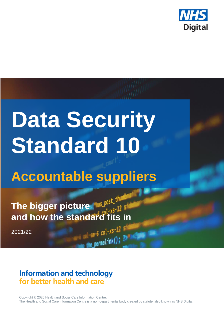

# **Data Security Standard 10**

## **Accountable suppliers**

The bigger picture **Mas. Post.** the and how the standard fits in

2021/22

## **Information and technology** for better health and care

Copyright © 2020 Health and Social Care Information Centre. The Health and Social Care Information Centre is a non-departmental body created by statute, also known as NHS Digital.

 $-6$  col-xs-12 s

permalink(); ?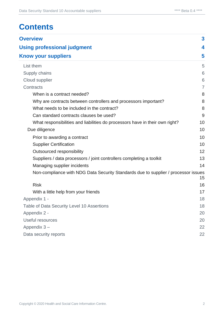## **Contents**

| <b>Overview</b>                                                                    | $\mathbf{3}$ |
|------------------------------------------------------------------------------------|--------------|
| <b>Using professional judgment</b>                                                 | 4            |
| <b>Know your suppliers</b>                                                         | 5            |
| List them                                                                          | 5            |
| Supply chains                                                                      | 6            |
| Cloud supplier                                                                     | 6            |
| Contracts                                                                          | 7            |
| When is a contract needed?                                                         | 8            |
| Why are contracts between controllers and processors important?                    | 8            |
| What needs to be included in the contract?                                         | 8            |
| Can standard contracts clauses be used?                                            | 9            |
| What responsibilities and liabilities do processors have in their own right?       | 10           |
| Due diligence                                                                      | 10           |
| Prior to awarding a contract                                                       | 10           |
| <b>Supplier Certification</b>                                                      | 10           |
| Outsourced responsibility                                                          | 12           |
| Suppliers / data processors / joint controllers completing a toolkit               | 13           |
| Managing supplier incidents                                                        | 14           |
| Non-compliance with NDG Data Security Standards due to supplier / processor issues | 15           |
| <b>Risk</b>                                                                        | 16           |
| With a little help from your friends                                               | 17           |
| Appendix 1 -                                                                       | 18           |
| Table of Data Security Level 10 Assertions                                         | 18           |
| Appendix 2 -                                                                       | 20           |
| Useful resources                                                                   | 20           |
| Appendix 3-                                                                        | 22           |
| Data security reports                                                              | 22           |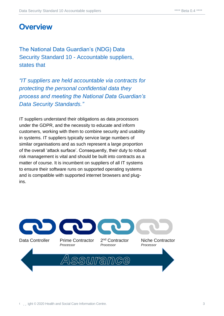## <span id="page-2-0"></span>**Overview**

The National Data Guardian's (NDG) Data Security Standard 10 - Accountable suppliers, states that

*"IT suppliers are held accountable via contracts for protecting the personal confidential data they process and meeting the National Data Guardian's Data Security Standards."*

IT suppliers understand their obligations as data processors under the GDPR, and the necessity to educate and inform customers, working with them to combine security and usability in systems. IT suppliers typically service large numbers of similar organisations and as such represent a large proportion of the overall 'attack surface'. Consequently, their duty to robust risk management is vital and should be built into contracts as a matter of course. It is incumbent on suppliers of all IT systems to ensure their software runs on supported operating systems and is compatible with supported internet browsers and plugins.

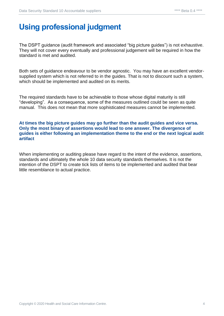## <span id="page-3-0"></span>**Using professional judgment**

The DSPT guidance (audit framework and associated "big picture guides") is not exhaustive. They will not cover every eventually and professional judgement will be required in how the standard is met and audited.

Both sets of guidance endeavour to be vendor agnostic. You may have an excellent vendorsupplied system which is not referred to in the guides. That is not to discount such a system, which should be implemented and audited on its merits.

The required standards have to be achievable to those whose digital maturity is still "developing". As a consequence, some of the measures outlined could be seen as quite manual. This does not mean that more sophisticated measures cannot be implemented.

#### **At times the big picture guides may go further than the audit guides and vice versa. Only the most binary of assertions would lead to one answer. The divergence of guides is either following an implementation theme to the end or the next logical audit artifact**

When implementing or auditing please have regard to the intent of the evidence, assertions, standards and ultimately the whole 10 data security standards themselves. It is not the intention of the DSPT to create tick lists of items to be implemented and audited that bear little resemblance to actual practice.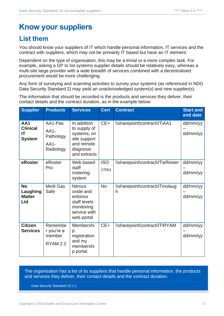## <span id="page-4-0"></span>**Know your suppliers**

## <span id="page-4-1"></span>**List them**

You should know your suppliers of IT which handle personal information, IT services and the contract with suppliers, which may not be primarily IT based but have an IT element.

Dependent on the type of organisation, this may be a trivial or a more complex task. For example, asking a GP to list systems supplier details should be relatively easy, whereas a multi-site large provider with a wide breadth of services combined with a decentralised procurement would be more challenging.

Any form of surveying and scanning activities to survey your systems (as referenced in NDG Data Security Standard 2) may yield an unacknowledged system(s) and new supplier(s).

The information that should be recorded is the products and services they deliver, their contact details and the contract duration, as in the example below:

| <b>Supplier</b>                               | <b>Products</b>                                       | <b>Services</b>                                                                                       | <b>Cert</b>         | <b>Contract</b>                      | <b>Start and</b><br>end date |
|-----------------------------------------------|-------------------------------------------------------|-------------------------------------------------------------------------------------------------------|---------------------|--------------------------------------|------------------------------|
| AA1<br><b>Clinical</b><br>IT<br><b>System</b> | AA1-Pas<br>$AA1-$<br>Pathology<br>$AA1-$<br>Radiology | In addition<br>to supply of<br>systems, on<br>site support<br>and remote<br>diagnosis<br>and extracts | $CE+$               | \\sharepoint\contract\IT\AA1         | dd/mm/yy<br>dd/mm/yy         |
| eRoster                                       | eRoster<br>Pro                                        | Web based<br>staff<br>rostering<br>system                                                             | <b>ISO</b><br>27001 | \\sharepoint\contract\IT\eRester     | dd/mm/yy<br>dd/mm/yy         |
| <b>No</b><br>Laughing<br><b>Matter</b><br>Ltd | Medi Gas<br>Safe                                      | <b>Nitrous</b><br>oxide and<br>entonox<br>staff levels<br>monitoring<br>service with<br>web portal    | <b>No</b>           | \\sharepoint\contract\IT\nolaug<br>h | dd/mm/yy<br>dd/mm/yy         |
| <b>Citizen</b><br><b>Services</b>             | Remembe<br>r you're a<br>member<br><b>RYAM 2.2</b>    | Membershi<br>p<br>registration<br>and my<br>membershi<br>p portal.                                    | $CE+$               | \\sharepoint\contract\IT\RYAM        | dd/mm/yy<br>dd/mm/yy         |

The organisation has a list of its suppliers that handle personal information, the products and services they deliver, their contact details and the contract duration.

Data Security Standard 10.1.1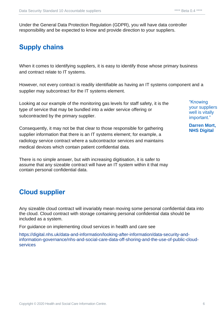Under the General Data Protection Regulation (GDPR), you will have data controller responsibility and be expected to know and provide direction to your suppliers.

## <span id="page-5-0"></span>**Supply chains**

When it comes to identifying suppliers, it is easy to identify those whose primary business and contract relate to IT systems.

However, not every contract is readily identifiable as having an IT systems component and a supplier may subcontract for the IT systems element.

Looking at our example of the monitoring gas levels for staff safety, it is the type of service that may be bundled into a wider service offering or subcontracted by the primary supplier.

Consequently, it may not be that clear to those responsible for gathering supplier information that there is an IT systems element; for example, a radiology service contract where a subcontractor services and maintains medical devices which contain patient confidential data.

There is no simple answer, but with increasing digitisation, it is safer to assume that any sizeable contract will have an IT system within it that may contain personal confidential data.

### <span id="page-5-1"></span>**Cloud supplier**

Any sizeable cloud contract will invariably mean moving some personal confidential data into the cloud. Cloud contract with storage containing personal confidential data should be included as a system.

For guidance on implementing cloud services in health and care see

[https://digital.nhs.uk/data-and-information/looking-after-information/data-security-and](https://digital.nhs.uk/data-and-information/looking-after-information/data-security-and-information-governance/nhs-and-social-care-data-off-shoring-and-the-use-of-public-cloud-services)[information-governance/nhs-and-social-care-data-off-shoring-and-the-use-of-public-cloud](https://digital.nhs.uk/data-and-information/looking-after-information/data-security-and-information-governance/nhs-and-social-care-data-off-shoring-and-the-use-of-public-cloud-services)[services](https://digital.nhs.uk/data-and-information/looking-after-information/data-security-and-information-governance/nhs-and-social-care-data-off-shoring-and-the-use-of-public-cloud-services)

"Knowing your suppliers well is vitally important."

**Darren Mort, NHS Digital**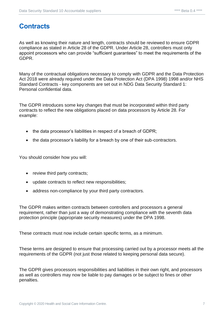## <span id="page-6-0"></span>**Contracts**

As well as knowing their nature and length, contracts should be reviewed to ensure GDPR compliance as stated in Article 28 of the GDPR. Under Article 28, controllers must only appoint processors who can provide "sufficient guarantees" to meet the requirements of the GDPR.

Many of the contractual obligations necessary to comply with GDPR and the Data Protection Act 2018 were already required under the Data Protection Act (DPA 1998) 1998 and/or NHS Standard Contracts - key components are set out in NDG Data Security Standard 1: Personal confidential data.

The GDPR introduces some key changes that must be incorporated within third party contracts to reflect the new obligations placed on data processors by Article 28. For example:

- the data processor's liabilities in respect of a breach of GDPR;
- the data processor's liability for a breach by one of their sub-contractors.

You should consider how you will:

- review third party contracts;
- update contracts to reflect new responsibilities;
- address non-compliance by your third party contractors.

The GDPR makes written contracts between controllers and processors a general requirement, rather than just a way of demonstrating compliance with the seventh data protection principle (appropriate security measures) under the DPA 1998.

These contracts must now include certain specific terms, as a minimum.

These terms are designed to ensure that processing carried out by a processor meets all the requirements of the GDPR (not just those related to keeping personal data secure).

The GDPR gives processors responsibilities and liabilities in their own right, and processors as well as controllers may now be liable to pay damages or be subject to fines or other penalties.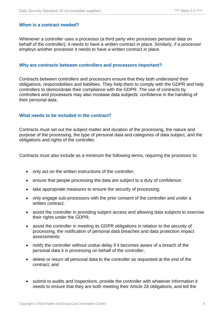#### <span id="page-7-0"></span>**When is a contract needed?**

Whenever a controller uses a processor (a third party who processes personal data on behalf of the controller), it needs to have a written contract in place. Similarly, if a processor employs another processor it needs to have a written contract in place.

#### <span id="page-7-1"></span>**Why are contracts between controllers and processors important?**

Contracts between controllers and processors ensure that they both understand their obligations, responsibilities and liabilities. They help them to comply with the GDPR and help controllers to demonstrate their compliance with the GDPR. The use of contracts by controllers and processors may also increase data subjects' confidence in the handling of their personal data.

#### <span id="page-7-2"></span>**What needs to be included in the contract?**

Contracts must set out the subject matter and duration of the processing, the nature and purpose of the processing, the type of personal data and categories of data subject, and the obligations and rights of the controller.

Contracts must also include as a minimum the following terms, requiring the processor to:

- only act on the written instructions of the controller;
- ensure that people processing the data are subject to a duty of confidence;
- take appropriate measures to ensure the security of processing;
- only engage sub-processors with the prior consent of the controller and under a written contract;
- assist the controller in providing subject access and allowing data subjects to exercise their rights under the GDPR;
- assist the controller in meeting its GDPR obligations in relation to the security of processing, the notification of personal data breaches and data protection impact assessments;
- notify the controller without undue delay if it becomes aware of a breach of the personal data it is processing on behalf of the controller;
- delete or return all personal data to the controller as requested at the end of the contract; and
- submit to audits and inspections, provide the controller with whatever information it needs to ensure that they are both meeting their Article 28 obligations, and tell the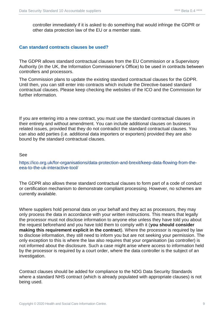controller immediately if it is asked to do something that would infringe the GDPR or other data protection law of the EU or a member state.

#### <span id="page-8-0"></span>**Can standard contracts clauses be used?**

The GDPR allows standard contractual clauses from the EU Commission or a Supervisory Authority (in the UK, the Information Commissioner's Office) to be used in contracts between controllers and processors.

The Commission plans to update the existing standard contractual clauses for the GDPR. Until then, you can still enter into contracts which include the Directive-based standard contractual clauses. Please keep checking the websites of the ICO and the Commission for further information.

If you are entering into a new contract, you must use the standard contractual clauses in their entirety and without amendment. You can include additional clauses on business related issues, provided that they do not contradict the standard contractual clauses. You can also add parties (i.e. additional data importers or exporters) provided they are also bound by the standard contractual clauses.

#### See

[https://ico.org.uk/for-organisations/data-protection-and-brexit/keep-data-flowing-from-the](https://ico.org.uk/for-organisations/data-protection-and-brexit/keep-data-flowing-from-the-eea-to-the-uk-interactive-tool/)[eea-to-the-uk-interactive-tool/](https://ico.org.uk/for-organisations/data-protection-and-brexit/keep-data-flowing-from-the-eea-to-the-uk-interactive-tool/)

The GDPR also allows these standard contractual clauses to form part of a code of conduct or certification mechanism to demonstrate compliant processing. However, no schemes are currently available.

Where suppliers hold personal data on your behalf and they act as processors, they may only process the data in accordance with your written instructions. This means that legally the processor must not disclose information to anyone else unless they have told you about the request beforehand and you have told them to comply with it (**you should consider making this requirement explicit in the contract**). Where the processor is required by law to disclose information, they still need to inform you but are not seeking your permission. The only exception to this is where the law also requires that your organisation (as controller) is not informed about the disclosure. Such a case might arise where access to information held by the processor is required by a court order, where the data controller is the subject of an investigation.

Contract clauses should be added for compliance to the NDG Data Security Standards where a standard NHS contract (which is already populated with appropriate clauses) is not being used.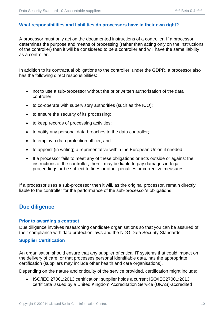#### <span id="page-9-0"></span>**What responsibilities and liabilities do processors have in their own right?**

A processor must only act on the documented instructions of a controller. If a processor determines the purpose and means of processing (rather than acting only on the instructions of the controller) then it will be considered to be a controller and will have the same liability as a controller.

In addition to its contractual obligations to the controller, under the GDPR, a processor also has the following direct responsibilities:

- not to use a sub-processor without the prior written authorisation of the data controller;
- to co-operate with supervisory authorities (such as the ICO);
- to ensure the security of its processing;
- to keep records of processing activities;
- to notify any personal data breaches to the data controller;
- to employ a data protection officer; and
- to appoint (in writing) a representative within the European Union if needed.
- If a processor fails to meet any of these obligations or acts outside or against the instructions of the controller, then it may be liable to pay damages in legal proceedings or be subject to fines or other penalties or corrective measures.

If a processor uses a sub-processor then it will, as the original processor, remain directly liable to the controller for the performance of the sub-processor's obligations.

#### <span id="page-9-1"></span>**Due diligence**

#### <span id="page-9-2"></span>**Prior to awarding a contract**

Due diligence involves researching candidate organisations so that you can be assured of their compliance with data protection laws and the NDG Data Security Standards.

#### <span id="page-9-3"></span>**Supplier Certification**

An organisation should ensure that any supplier of critical IT systems that could impact on the delivery of care, or that processes personal identifiable data, has the appropriate certification (suppliers may include other health and care organisations).

Depending on the nature and criticality of the service provided, certification might include:

• ISO/IEC 27001:2013 certification: supplier holds a current ISO/IEC27001:2013 certificate issued by a United Kingdom Accreditation Service (UKAS)-accredited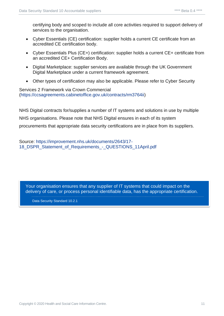certifying body and scoped to include all core activities required to support delivery of services to the organisation.

- Cyber Essentials (CE) certification: supplier holds a current CE certificate from an accredited CE certification body.
- Cyber Essentials Plus (CE+) certification: supplier holds a current CE+ certificate from an accredited CE+ Certification Body.
- Digital Marketplace: supplier services are available through the UK Government Digital Marketplace under a current framework agreement.
- Other types of certification may also be applicable. Please refer to Cyber Security

#### Services 2 Framework via Crown Commercial [\(https://ccsagreements.cabinetoffice.gov.uk/contracts/rm3764ii\)](https://ccsagreements.cabinetoffice.gov.uk/contracts/rm3764ii)

NHS Digital contracts for/supplies a number of IT systems and solutions in use by multiple NHS organisations. Please note that NHS Digital ensures in each of its system procurements that appropriate data security certifications are in place from its suppliers.

Source: [https://improvement.nhs.uk/documents/2643/17-](https://improvement.nhs.uk/documents/2643/17-18_DSPR_Statement_of_Requirements_-_QUESTIONS_11April.pdf) 18 DSPR Statement of Requirements - QUESTIONS 11April.pdf

Your organisation ensures that any supplier of IT systems that could impact on the delivery of care, or process personal identifiable data, has the appropriate certification.

Data Security Standard 10.2.1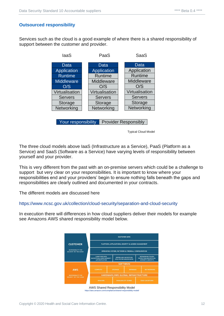#### <span id="page-11-0"></span>**Outsourced responsibility**

Services such as the cloud is a good example of where there is a shared responsibility of support between the customer and provider.



Typical Cloud Model

The three cloud models above IaaS (Infrastructure as a Service), PaaS (Platform as a Service) and SaaS (Software as a Service) have varying levels of responsibility between yourself and your provider.

This is very different from the past with an on-premise servers which could be a challenge to support but very clear on your responsibilities. It is important to know where your responsibilities end and your providers' begin to ensure nothing falls beneath the gaps and responsibilities are clearly outlined and documented in your contracts.

The different models are discussed here

#### <https://www.ncsc.gov.uk/collection/cloud-security/separation-and-cloud-security>

In execution there will differences in how cloud suppliers deliver their models for example see Amazons AWS shared responsibility model below.



<https://aws.amazon.com/compliance/shared-responsibility-model/>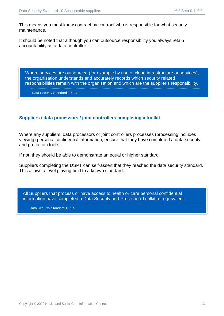This means you must know contract by contract who is responsible for what security maintenance.

It should be noted that although you can outsource responsibility you always retain accountability as a data controller.

Where services are outsourced (for example by use of cloud infrastructure or services), the organisation understands and accurately records which security related responsibilities remain with the organisation and which are the supplier's responsibility.

Data Security Standard 10.2.4

#### <span id="page-12-0"></span>**Suppliers / data processors / joint controllers completing a toolkit**

Where any suppliers, data processors or joint controllers processes (processing includes viewing) personal confidential information, ensure that they have completed a data security and protection toolkit.

If not, they should be able to demonstrate an equal or higher standard.

Suppliers completing the DSPT can self-assert that they reached the data security standard. This allows a level playing field to a known standard.

All Suppliers that process or have access to health or care personal confidential information have completed a Data Security and Protection Toolkit, or equivalent.

Data Security Standard 10.2.5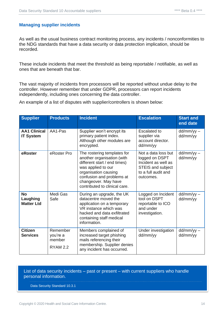#### <span id="page-13-0"></span>**Managing supplier incidents**

As well as the usual business contract monitoring process, any incidents / nonconformities to the NDG standards that have a data security or data protection implication, should be recorded.

These include incidents that meet the threshold as being reportable / notifiable, as well as ones that are beneath that bar.

The vast majority of incidents from processors will be reported without undue delay to the controller. However remember that under GDPR, processors can report incidents independently, including ones concerning the data controller.

An example of a list of disputes with supplier/controllers is shown below:

| <b>Supplier</b>                            | <b>Products</b>                                   | <b>Incident</b>                                                                                                                                                                                                               | <b>Escalation</b>                                                                                                     | <b>Start and</b><br>end date |
|--------------------------------------------|---------------------------------------------------|-------------------------------------------------------------------------------------------------------------------------------------------------------------------------------------------------------------------------------|-----------------------------------------------------------------------------------------------------------------------|------------------------------|
| <b>AA1 Clinical</b><br><b>IT System</b>    | AA1-Pas                                           | Supplier won't encrypt its<br>primary patient index.<br>Although other modules are<br>encrypted.                                                                                                                              | <b>Escalated to</b><br>supplier via<br>account director.<br>dd/mm/yy                                                  | $dd/mm/yy -$<br>dd/mm/yy     |
| eRoster                                    | eRoster Pro                                       | The rostering templates for<br>another organisation (with<br>different start / end times)<br>was applied to our<br>organisation causing<br>confusion and problems at<br>changeover. May have<br>contributed to clinical care. | Not a data loss but<br>logged on DSPT<br>Incident as well as<br>STEIS and subject<br>to a full audit and<br>outcomes. | $dd/mm/yy -$<br>dd/mm/yy     |
| <b>No</b><br>Laughing<br><b>Matter Ltd</b> | Medi Gas<br>Safe                                  | During an upgrade, the UK<br>datacentre moved the<br>application on a temporary<br>VR instance which was<br>hacked and data exfiltrated<br>containing staff medical<br>information.                                           | Logged on Incident<br>tool on DSPT<br>reportable to ICO<br>and under<br>investigation.                                | $dd/mm/yy -$<br>dd/mm/yy     |
| <b>Citizen</b><br><b>Services</b>          | Remember<br>you're a<br>member<br><b>RYAM 2.2</b> | Members complained of<br>increased target phishing<br>mails referencing their<br>membership. Supplier denies<br>any incident has occurred.                                                                                    | Under investigation<br>dd/mm/yy                                                                                       | $dd/mm/yy -$<br>dd/mm/yy     |

List of data security incidents – past or present – with current suppliers who handle personal information.

Data Security Standard 10.3.1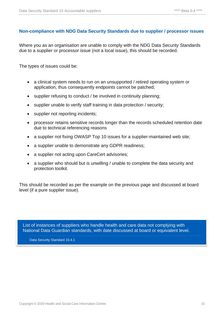#### <span id="page-14-0"></span>**Non-compliance with NDG Data Security Standards due to supplier / processor issues**

Where you as an organisation are unable to comply with the NDG Data Security Standards due to a supplier or processor issue (not a local issue), this should be recorded.

The types of issues could be:

- a clinical system needs to run on an unsupported / retired operating system or application, thus consequently endpoints cannot be patched;
- supplier refusing to conduct / be involved in continuity planning;
- supplier unable to verify staff training in data protection / security;
- supplier not reporting incidents;
- processor retains sensitive records longer than the records scheduled retention date due to technical referencing reasons
- a supplier not fixing OWASP Top 10 issues for a supplier-maintained web site;
- a supplier unable to demonstrate any GDPR readiness;
- a supplier not acting upon CareCert advisories;
- a supplier who should but is unwilling / unable to complete the data security and protection toolkit.

This should be recorded as per the example on the previous page and discussed at board level (if a pure supplier issue).

List of instances of suppliers who handle health and care data not complying with National Data Guardian standards, with date discussed at board or equivalent level.

Data Security Standard 10.4.1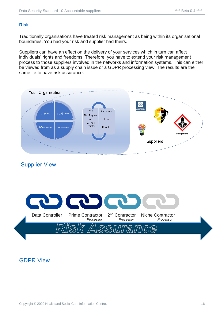#### <span id="page-15-0"></span>**Risk**

Traditionally organisations have treated risk management as being within its organisational boundaries. You had your risk and supplier had theirs.

Suppliers can have an effect on the delivery of your services which in turn can affect individuals' rights and freedoms. Therefore, you have to extend your risk management process to those suppliers involved in the networks and information systems. This can either be viewed from as a supply chain issue or a GDPR processing view. The results are the same i.e.to have risk assurance.



#### Supplier View



#### GDPR View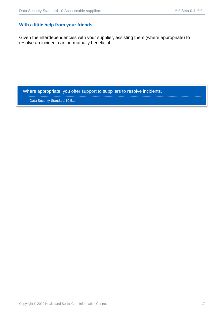#### <span id="page-16-0"></span>**With a little help from your friends**

Given the interdependencies with your supplier, assisting them (where appropriate) to resolve an incident can be mutually beneficial.

Where appropriate, you offer support to suppliers to resolve incidents.

Data Security Standard 10.5.1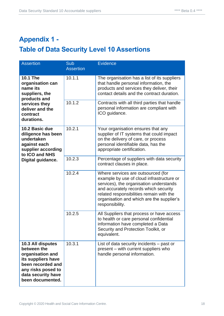## <span id="page-17-1"></span><span id="page-17-0"></span>**Appendix 1 - Table of Data Security Level 10 Assertions**

| <b>Assertion</b>                                                                                                                                                | Sub<br><b>Assertion</b> | <b>Evidence</b>                                                                                                                                                                                                                                                                 |
|-----------------------------------------------------------------------------------------------------------------------------------------------------------------|-------------------------|---------------------------------------------------------------------------------------------------------------------------------------------------------------------------------------------------------------------------------------------------------------------------------|
| <b>10.1 The</b><br>organisation can<br>name its<br>suppliers, the<br>products and                                                                               | 10.1.1                  | The organisation has a list of its suppliers<br>that handle personal information, the<br>products and services they deliver, their<br>contact details and the contract duration.                                                                                                |
| services they<br>deliver and the<br>contract<br>durations.                                                                                                      | 10.1.2                  | Contracts with all third parties that handle<br>personal information are compliant with<br>ICO guidance.                                                                                                                                                                        |
| 10.2 Basic due<br>diligence has been<br>undertaken<br>against each<br>supplier according<br>to ICO and NHS<br>Digital guidance.                                 | 10.2.1                  | Your organisation ensures that any<br>supplier of IT systems that could impact<br>on the delivery of care, or process<br>personal identifiable data, has the<br>appropriate certification.                                                                                      |
|                                                                                                                                                                 | 10.2.3                  | Percentage of suppliers with data security<br>contract clauses in place.                                                                                                                                                                                                        |
|                                                                                                                                                                 | 10.2.4                  | Where services are outsourced (for<br>example by use of cloud infrastructure or<br>services), the organisation understands<br>and accurately records which security<br>related responsibilities remain with the<br>organisation and which are the supplier's<br>responsibility. |
|                                                                                                                                                                 | 10.2.5                  | All Suppliers that process or have access<br>to health or care personal confidential<br>information have completed a Data<br>Security and Protection Toolkit, or<br>equivalent.                                                                                                 |
| 10.3 All disputes<br>between the<br>organisation and<br>its suppliers have<br>been recorded and<br>any risks posed to<br>data security have<br>been documented. | 10.3.1                  | List of data security incidents – past or<br>present – with current suppliers who<br>handle personal information.                                                                                                                                                               |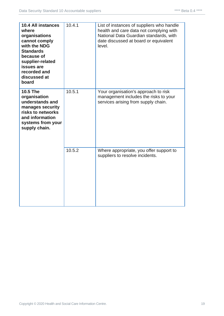| 10.4 All instances<br>where<br>organisations<br>cannot comply<br>with the NDG<br><b>Standards</b><br>because of<br>supplier-related<br>issues are<br>recorded and<br>discussed at<br>board | 10.4.1 | List of instances of suppliers who handle<br>health and care data not complying with<br>National Data Guardian standards, with<br>date discussed at board or equivalent<br>level. |
|--------------------------------------------------------------------------------------------------------------------------------------------------------------------------------------------|--------|-----------------------------------------------------------------------------------------------------------------------------------------------------------------------------------|
| <b>10.5 The</b><br>organisation<br>understands and<br>manages security<br>risks to networks<br>and information<br>systems from your<br>supply chain.                                       | 10.5.1 | Your organisation's approach to risk<br>management includes the risks to your<br>services arising from supply chain.                                                              |
|                                                                                                                                                                                            | 10.5.2 | Where appropriate, you offer support to<br>suppliers to resolve incidents.                                                                                                        |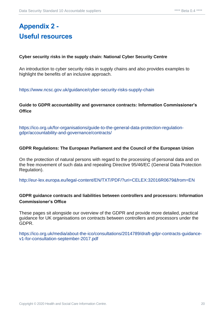## <span id="page-19-1"></span><span id="page-19-0"></span>**Appendix 2 - Useful resources**

#### **Cyber security risks in the supply chain: National Cyber Security Centre**

An introduction to cyber security risks in supply chains and also provides examples to highlight the benefits of an inclusive approach.

<https://www.ncsc.gov.uk/guidance/cyber-security-risks-supply-chain>

#### **Guide to GDPR accountability and governance contracts: Information Commissioner's Office**

[https://ico.org.uk/for-organisations/guide-to-the-general-data-protection-regulation](https://ico.org.uk/for-organisations/guide-to-the-general-data-protection-regulation-gdpr/accountability-and-governance/contracts/)[gdpr/accountability-and-governance/contracts/](https://ico.org.uk/for-organisations/guide-to-the-general-data-protection-regulation-gdpr/accountability-and-governance/contracts/)

#### **GDPR Regulations: The European Parliament and the Council of the European Union**

On the protection of natural persons with regard to the processing of personal data and on the free movement of such data and repealing Directive 95/46/EC (General Data Protection Regulation).

<http://eur-lex.europa.eu/legal-content/EN/TXT/PDF/?uri=CELEX:32016R0679&from=EN>

#### **GDPR guidance contracts and liabilities between controllers and processors: Information Commissioner's Office**

These pages sit alongside our overview of the GDPR and provide more detailed, practical guidance for UK organisations on contracts between controllers and processors under the GDPR.

[https://ico.org.uk/media/about-the-ico/consultations/2014789/draft-gdpr-contracts-guidance](https://ico.org.uk/media/about-the-ico/consultations/2014789/draft-gdpr-contracts-guidance-v1-for-consultation-september-2017.pdf)[v1-for-consultation-september-2017.pdf](https://ico.org.uk/media/about-the-ico/consultations/2014789/draft-gdpr-contracts-guidance-v1-for-consultation-september-2017.pdf)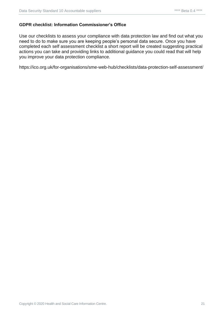#### **GDPR checklist: Information Commissioner's Office**

Use our checklists to assess your compliance with data protection law and find out what you need to do to make sure you are keeping people's personal data secure. Once you have completed each self assessment checklist a short report will be created suggesting practical actions you can take and providing links to additional guidance you could read that will help you improve your data protection compliance.

https://ico.org.uk/for-organisations/sme-web-hub/checklists/data-protection-self-assessment/